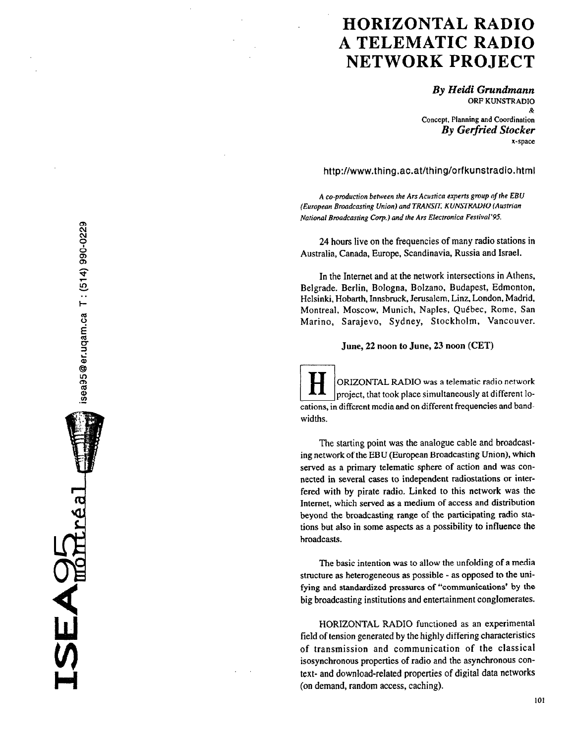# HORIZONTAL RADIO A TELEMATIC RADIO NETWORK PROJECT

By Heidi Grundmann ORF KUNSTRADIO & Concept, Planning and Coordination **By Gerfried Stocker** x-space

http://www.thing.ac.at/thing/orfkunstradio.html

A co-production between the Ars Acusfica experfs group of the EBU (European Broadcasting Union) and TRANSIT, KUNSTRADIO (Austrian Nafional Broadcasting Corp.) and the Ars Electronica Fesfival'95.

24 hours live on the frequencies of many radio stations in Australia, Canada, Europe, Scandinavia, Russia and Israel.

In the Internet and at the network intersections in Athens, Belgrade. Berlin, Bologna, Bolzano, Budapest, Edmonton, Helsinki, Hobarth, Innsbruck, Jerusalem, Linz, London, Madrid. Montreal, Moscow, Munich, Naples, Québec, Rome, San Marino, Sarajevo, Sydney, Stockholm. Vancouver.

June, 22 noon to June, 23 noon (CET)

ORIZONTAL RADIO was a telematic radio network project, that took place simultaneously at different locations, in different media and on different frequencies and bandwidths.

The starting point was the analogue cable and broadcasting network of the EBU (European Broadcasting Union), which served as a primary telematic sphere of action and was connected in several cases to independent radiostations or interfered with by pirate radio. Linked to this network was the Internet, which served as a medium of access and distribution beyond the broadcasting range of the participating radio stations but also in some aspects as a possibility to influence the broadcasts.

The basic intention was to allow the unfolding of a media structure as heterogeneous as possible - as opposed to the unifying and standardized pressures of "communications' by the big broadcasting institutions and entertainment conglomerates.

HORIZONTAL RADIO functioned as an experimental field of tension generated by the highly differing characteristics of transmission and communication of the classical isosynchronous properties of radio and the asynchronous context- and download-related properties of digital data networks (on demand, random access, caching).

isea95@er.uqam.ca T: (514) 990-0229

 $E$ A $\Theta$  $F$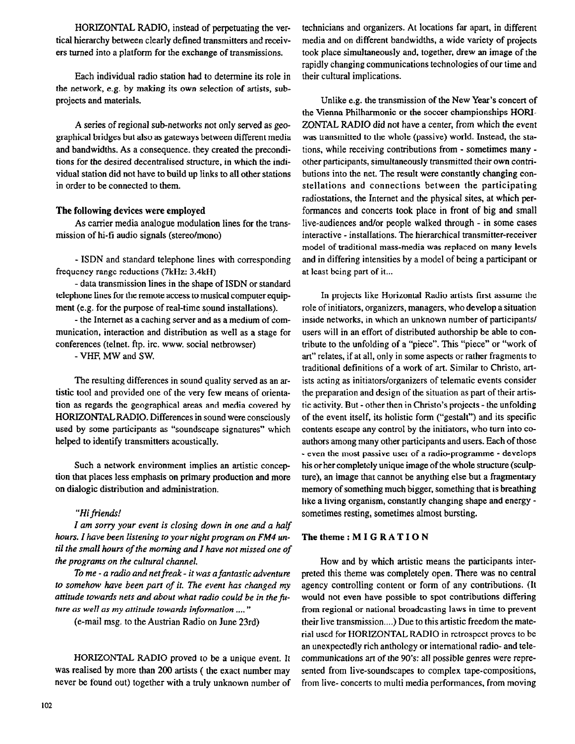HORIZONTAL RADIO, instead of perpetuating the vertical hierarchy between clearly defined transmitters and receivers turned into a platform for the exchange of transmissions.

Each individual radio station had to determine its role in the network, e.g. by making its own selection of artists, subprojects and materials.

A series of regional sub-networks not only served as geographical bridges but also as gateways between different media and bandwidths. As a consequence. they created the preconditions for the desired decentralised structure, in which the individual station did not have to build up links to all other stations in order to be connected to them.

## The following devices were employed

As carrier media analogue modulation lines for the transmission of hi-fi audio signals (stereo/mono)

- ISDN and standard telephone lines with corresponding frequency range reductions (7kHz: 3.4kH)

- data transmission lines in the shape of ISDN or standard telephone lines for the remote access to musical computer equipment (e.g. for the purpose of real-time sound installations).

- the Internet as a caching server and as a medium of communication, interaction and distribution as well as a stage for conferences (telnet. ftp. ire. www. social netbrowser)

- VHF, MW and SW.

The resulting differences in sound quality served as an artistic tool and provided one of the very few means of orientation as regards the geographical areas and media covered by HORIZONTALRADIO. Differences in sound were consciously used by some participants as "soundscape signatures" which helped to identify transmitters acoustically.

Such a network environment implies an artistic conception that places less emphasis on primary production and more on dialogic distribution and administration.

## "Hi friends!

I am sorry your event is closing down in one and a half hours. I have been listening to your night program on FM4 until the small hours of the morning and I have not missed one of the programs on the cultural channel.

To me - a radio and net freak - it was a fantastic adventure to somehow have been part of it. The event has changed my attitude towards nets and about what radio could be in the future as well as my attitude towards information ...."

(e-mail msg. to the Austrian Radio on June 23rd)

HORIZONTAL RADIO proved to be a unique event. It was realised by more than 200 artists ( the exact number may never be found out) together with a truly unknown number of technicians and organizers. At locations far apart, in different media and on different bandwidths, a wide variety of projects took place simultaneously and, together, drew an image of the rapidly changing communications technologies of our time and their cultural implications.

Unlike e.g. the transmission of the New Year's concert of the Vienna Philharmonic or the soccer championships HORI-ZONTAL RADIO did not have a center, from which the event was transmitted to the whole (passive) world. Instead, the stations, while receiving contributions from - sometimes many other participants, simultaneously transmitted their own contributions into the net. The result were constantly changing constellations and connections between the participating radiostations, the Internet and the physical sites, at which performances and concerts took place in front of big and small live-audiences and/or people walked through - in some cases interactive - installations. The hierarchical transmitter-receiver model of traditional mass-media was replaced on many levels and in differing intensities by a model of being a participant or at least being part of it...

In projects like Horizontal Radio artists first assume the role of initiators, organizers, managers, who develop a situation inside networks, in which an unknown number of participants/ users will in an effort of distributed authorship be able to contribute to the unfolding of a "piece". This "piece" or "work of art" relates, if at all, only in some aspects or rather fragments to traditional definitions of a work of art. Similar to Christo, artists acting as initiators/organizers of telematic events consider the preparation and design of the situation as part of their artistic activity. But - other then in Christo's projects - the unfolding of the event itself, its holistic form ("gestalt") and its specific contents escape any control by the initiators, who turn into coauthors among many other participants and users. Each of those - even the most passive user of a radio-programme - develops his or her completely unique image of the whole structure (sculpture), an image that cannot be anything else but a fragmentary memory of something much bigger, something that is breathing like a living organism, constantly changing shape and energy sometimes resting, sometimes almost bursting.

## The theme: MIGRATION

How and by which artistic means the participants interpreted this theme was completely open. There was no central agency controlling content or form of any contributions. (It would not even have possible to spot contributions differing from regional or national broadcasting laws in time to prevent their live transmission....) Due to this artistic freedom the material used for HORIZONTAL RADIO in retrospect proves to be an unexpectedly rich anthology or international radio- and telecommunications art of the 90's: all possible genres were represented from live-soundscapes to complex tape-compositions, from live- concerts to multi media performances, from moving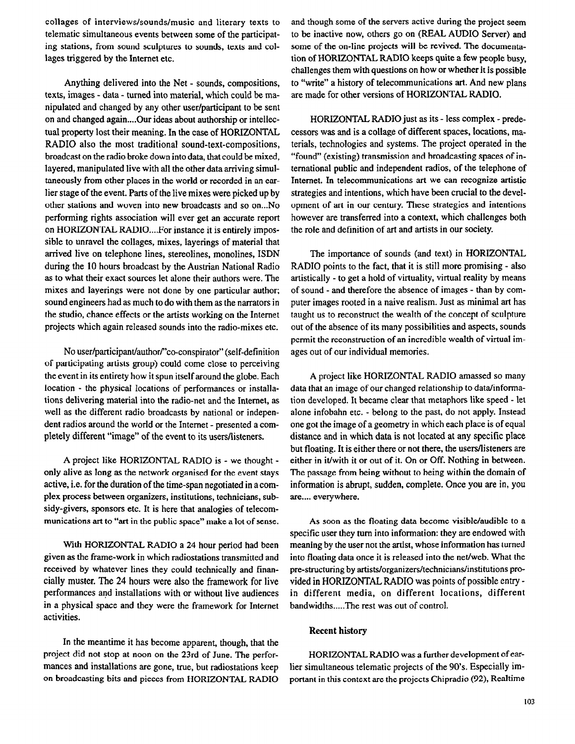collages of interviews/sounds/music and literary texts to telematic simultaneous events between some of the participating stations, from sound sculptures to sounds, texts and collages triggered by the Internet etc.

Anything delivered into the Net - sounds, compositions, texts, images - data - turned into material, which could be manipulated and changed by any other user/participant to be sent on and changed again....Our ideas about authorship or intellectual property lost their meaning. In the case of HORIZONTAL RADIO also the most traditional sound-text-compositions, broadcast on the radio broke down into data, that could be mixed, layered, manipulated live with all the other data arriving simultaneously from other places in the world or recorded in an earlier stage of the event. Parts of the live mixes were picked up by other stations and woven into new broadcasts and so on...No performing rights association will ever get an accurate report on HORIZONTAL RADIO....For instance it is entirely impossible to unravel the collages, mixes, layerings of material that arrived live on telephone lines, stereolines, monolines, ISDN during the IO hours broadcast by the Austrian National Radio as to what their exact sources let alone their authors were. The mixes and layerings were not done by one particular author; sound engineers had as much to do with them as the narrators in the studio, chance effects or the artists working on the Internet projects which again released sounds into the radio-mixes etc.

No user/participant/author/"co-conspirator" (self-definition of participating artists group) could come close to perceiving the event in its entirety how it spun itself around the globe. Each location - the physical locations of performances or installations delivering material into the radio-net and the Internet, as well as the different radio broadcasts by national or independent radios around the world or the Internet - presented a completely different "image" of the event to its users/listeners.

A project like HORIZONTAL RADIO is - we thought only alive as long as the network organised for the event stays active, i.e. for the duration of the time-span negotiated in a complex process between organizers, institutions, technicians, subsidy-givers, sponsors etc. It is here that analogies of telecommunications art to "art in the public space" make a lot of sense.

With HORIZONTAL, RADIO a 24 hour period had been given as the frame-work in which radiostations transmitted and received by whatever lines they could technically and financially muster. The 24 hours were also the framework for live performances and installations with or without live audiences in a physical space and they were the framework for Internet activities.

In the meantime it has become apparent, though, that the project did not stop at noon on the 23rd of June. The performances and installations are gone, true, but radiostations keep on broadcasting bits and pieces from HORIZONTAL RADIO and though some of the servers active during the project seem to be inactive now, others go on (REAL AUDIO Server) and some of the on-line projects will be revived. The documentation of HORIZONTAL RADIO keeps quite a few people busy, challenges them with questions on how or whether it is possible to "write" a history of telecommunications art. And new plans are made for other versions of HORIZONTAL RADIO.

HORIZONTAL RADIO just as its - less complex - predecessors was and is a collage of different spaces, locations, materials, technologies and systems. The project operated in the "found" (existing) transmission and broadcasting spaces of international public and independent radios, of the telephone of Internet. In telecommunications art we can recognize artistic strategies and intentions, which have been crucial to the development of art in our century. These strategies and intentions however are transferred into a context, which challenges both the role and definition of art and artists in our society.

The importance of sounds (and text) in HORIZONTAL RADIO points to the fact, that it is stiil more promising - also artistically - to get a hold of virtuality, virtual reality by means of sound - and therefore the absence of images - than by computer images rooted in a naive realism. Just as minimal art has taught us to reconstruct the wealth of the concept of sculpture out of the absence of its many possibilities and aspects, sounds permit the reconstruction of an incredible wealth of virtual images out of our individual memories.

A project like HORIZONTAL RADIO amassed so many data that an image of our changed reIationship to data/informstion developed. It became clear that metaphors like speed - let alone infobahn etc. - belong to the past, do not apply. Instead one got the image of a geometry in which each place is of equal distance and in which data is not Iocated at any specific pIace but floating. It is either there or not there, the users/listeners are either in it/with it or out of it. On or Off. Nothing in between. The passage from being without to being within the domain of information is abrupt, sudden, complete. Once you are in, you are.... everywhere.

As soon as the floating data become visible/audible to a specific user they turn into information: they are endowed with meaning by the user not the artist, whose information has turned into floating data once it is released into the net/web. What the pre-structuring by artists/organizers/technicians/institutions provided in HORIZONTAL RADIO was points of possible entry in different media, on different locations, different bandwidths.....The rest was out of control.

## Recent history

HORIZONTAL RADIO was a further development of earlier simultaneous telematic projects of the 90's. Especially important in this context are the projects Chipradio (92), Realtime